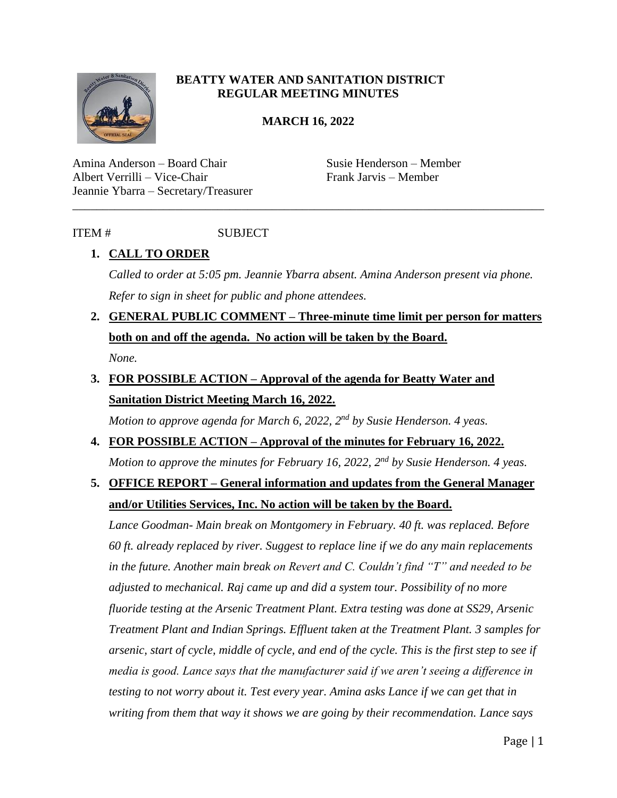

### **BEATTY WATER AND SANITATION DISTRICT REGULAR MEETING MINUTES**

#### **MARCH 16, 2022**

\_\_\_\_\_\_\_\_\_\_\_\_\_\_\_\_\_\_\_\_\_\_\_\_\_\_\_\_\_\_\_\_\_\_\_\_\_\_\_\_\_\_\_\_\_\_\_\_\_\_\_\_\_\_\_\_\_\_\_\_\_\_\_\_\_\_\_\_\_\_\_\_\_\_\_\_\_\_

Amina Anderson – Board Chair Susie Henderson – Member Albert Verrilli – Vice-Chair Frank Jarvis – Member Jeannie Ybarra – Secretary/Treasurer

### ITEM # SUBJECT

## **1. CALL TO ORDER**

*Called to order at 5:05 pm. Jeannie Ybarra absent. Amina Anderson present via phone. Refer to sign in sheet for public and phone attendees.* 

- **2. GENERAL PUBLIC COMMENT – Three-minute time limit per person for matters both on and off the agenda. No action will be taken by the Board.** *None.*
- **3. FOR POSSIBLE ACTION – Approval of the agenda for Beatty Water and Sanitation District Meeting March 16, 2022.**

*Motion to approve agenda for March 6, 2022, 2nd by Susie Henderson. 4 yeas.*

**4. FOR POSSIBLE ACTION – Approval of the minutes for February 16, 2022.** *Motion to approve the minutes for February 16, 2022, 2nd by Susie Henderson. 4 yeas.* 

# **5. OFFICE REPORT – General information and updates from the General Manager and/or Utilities Services, Inc. No action will be taken by the Board.**

*Lance Goodman- Main break on Montgomery in February. 40 ft. was replaced. Before 60 ft. already replaced by river. Suggest to replace line if we do any main replacements in the future. Another main break on Revert and C. Couldn't find "T" and needed to be adjusted to mechanical. Raj came up and did a system tour. Possibility of no more fluoride testing at the Arsenic Treatment Plant. Extra testing was done at SS29, Arsenic Treatment Plant and Indian Springs. Effluent taken at the Treatment Plant. 3 samples for arsenic, start of cycle, middle of cycle, and end of the cycle. This is the first step to see if media is good. Lance says that the manufacturer said if we aren't seeing a difference in testing to not worry about it. Test every year. Amina asks Lance if we can get that in writing from them that way it shows we are going by their recommendation. Lance says*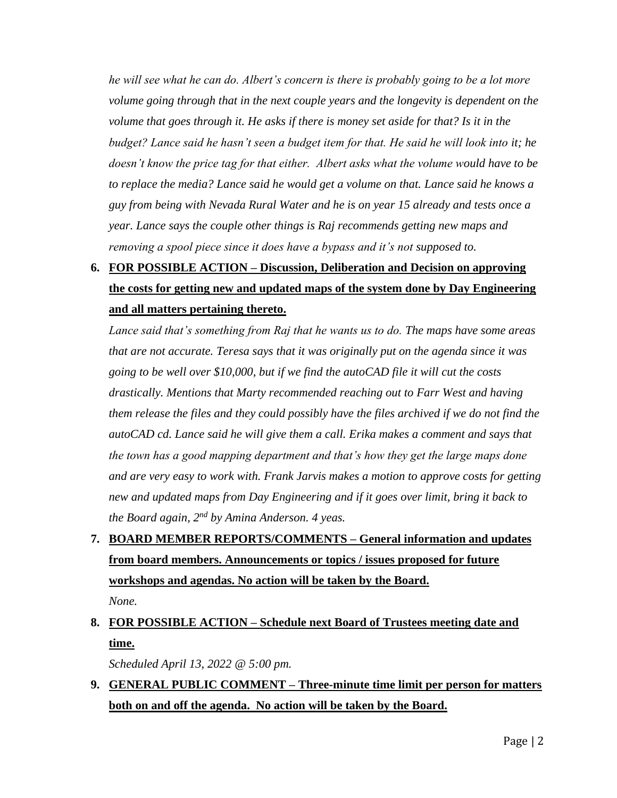*he will see what he can do. Albert's concern is there is probably going to be a lot more volume going through that in the next couple years and the longevity is dependent on the volume that goes through it. He asks if there is money set aside for that? Is it in the budget? Lance said he hasn't seen a budget item for that. He said he will look into it; he doesn't know the price tag for that either. Albert asks what the volume would have to be*  to replace the media? Lance said he would get a volume on that. Lance said he knows a *guy from being with Nevada Rural Water and he is on year 15 already and tests once a year. Lance says the couple other things is Raj recommends getting new maps and removing a spool piece since it does have a bypass and it's not supposed to.* 

# **6. FOR POSSIBLE ACTION – Discussion, Deliberation and Decision on approving the costs for getting new and updated maps of the system done by Day Engineering and all matters pertaining thereto.**

*Lance said that's something from Raj that he wants us to do. The maps have some areas that are not accurate. Teresa says that it was originally put on the agenda since it was going to be well over \$10,000, but if we find the autoCAD file it will cut the costs drastically. Mentions that Marty recommended reaching out to Farr West and having them release the files and they could possibly have the files archived if we do not find the autoCAD cd. Lance said he will give them a call. Erika makes a comment and says that the town has a good mapping department and that's how they get the large maps done and are very easy to work with. Frank Jarvis makes a motion to approve costs for getting new and updated maps from Day Engineering and if it goes over limit, bring it back to the Board again, 2nd by Amina Anderson. 4 yeas.* 

# **7. BOARD MEMBER REPORTS/COMMENTS – General information and updates from board members. Announcements or topics / issues proposed for future workshops and agendas. No action will be taken by the Board.**  *None.*

## **8. FOR POSSIBLE ACTION – Schedule next Board of Trustees meeting date and time.**

*Scheduled April 13, 2022 @ 5:00 pm.* 

## **9. GENERAL PUBLIC COMMENT – Three-minute time limit per person for matters both on and off the agenda. No action will be taken by the Board.**